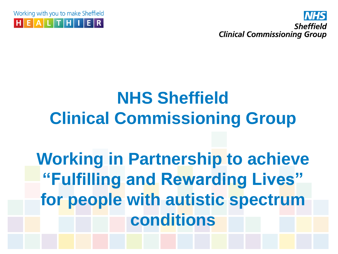Working with you to make Sheffield  $E|A|L|T|H|I|E|R$ 



# **NHS Sheffield Clinical Commissioning Group**

# **Working in Partnership to achieve "Fulfilling and Rewarding Lives" for people with autistic spectrum conditions**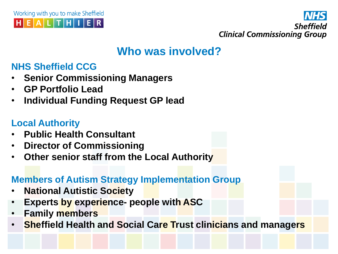



#### **Who was involved?**

#### **NHS Sheffield CCG**

- **Senior Commissioning Managers**
- **GP Portfolio Lead**
- **Individual Funding Request GP lead**

#### **Local Authority**

- **Public Health Consultant**
- **Director of Commissioning**
- **Other senior staff from the Local Authority**

#### **Members of Autism Strategy Implementation Group**

- **National Autistic Society**
- **Experts by experience- people with ASC**
- **Family members**
- **Sheffield Health and Social Care Trust clinicians and managers**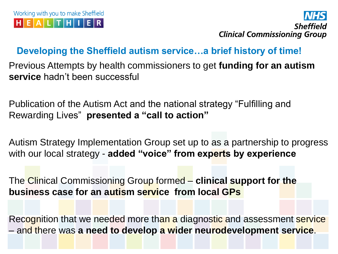

#### **Developing the Sheffield autism service…a brief history of time!**

Previous Attempts by health commissioners to get **funding for an autism service** hadn't been successful

Publication of the Autism Act and the national strategy "Fulfilling and Rewarding Lives" **presented a "call to action"** 

Autism Strategy Implementation Group set up to as a partnership to progress with our local strategy - **added "voice" from experts by experience**

The Clinical Commissioning Group formed – **clinical support for the business case for an autism service from local GPs**

Recognition that we needed more than a diagnostic and assessment service – and there was **a need to develop a wider neurodevelopment service**.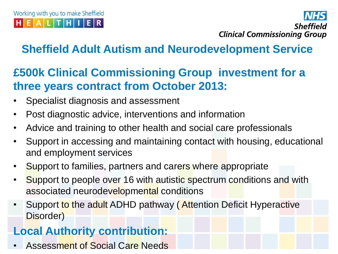Sheffield **Clinical Commissioning Group** 

## **Sheffield Adult Autism and Neurodevelopment Service**

### **£500k Clinical Commissioning Group investment for a three years contract from October 2013:**

- Specialist diagnosis and assessment
- Post diagnostic advice, interventions and information
- Advice and training to other health and social care professionals
- Support in accessing and maintaining contact with housing, educational and employment services
- Support to families, partners and carers where appropriate
- Support to people over 16 with autistic spectrum conditions and with associated neurodevelopmental conditions
- Support to the adult ADHD pathway (Attention Deficit Hyperactive Disorder)

### **Local Authority contribution:**

• Assessment of Social Care Needs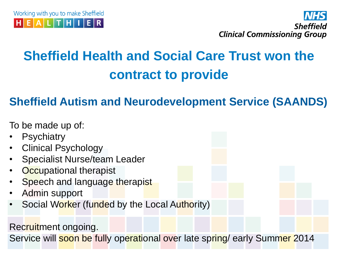



## **Sheffield Health and Social Care Trust won the contract to provide**

#### **Sheffield Autism and Neurodevelopment Service (SAANDS)**

To be made up of:

**Psychiatry** • Clinical Psychology • Specialist Nurse/team Leader **Occupational therapist** Speech and language therapist • Admin support • Social Worker (funded by the Local Authority) Recruitment ongoing. Service will soon be fully operational over late spring/ early Summer 2014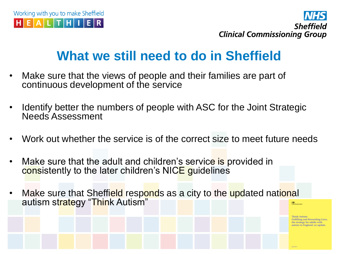



## **What we still need to do in Sheffield**

- Make sure that the views of people and their families are part of continuous development of the service
- Identify better the numbers of people with ASC for the Joint Strategic Needs Assessment
- Work out whether the service is of the correct size to meet future needs
- Make sure that the adult and children's service is provided in consistently to the later children's NICE guidelines
- Make sure that Sheffield responds as a city to the updated national autism strategy "Think Autism"

Fulfilling and Rewarding Live the strategy for adults with stism in England: an update